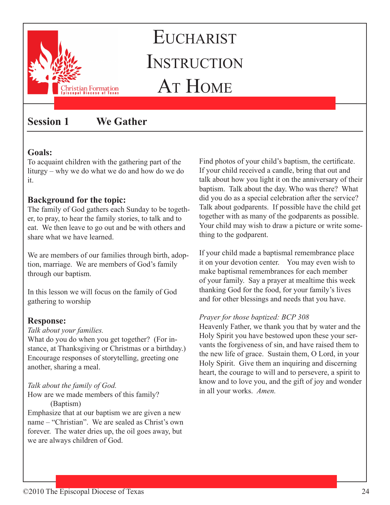

# **Session 1 We Gather**

### **Goals:**

To acquaint children with the gathering part of the liturgy – why we do what we do and how do we do it.

# **Background for the topic:**

The family of God gathers each Sunday to be together, to pray, to hear the family stories, to talk and to eat. We then leave to go out and be with others and share what we have learned.

We are members of our families through birth, adoption, marriage. We are members of God's family through our baptism.

In this lesson we will focus on the family of God gathering to worship

### **Response:**

#### *Talk about your families.*

What do you do when you get together? (For instance, at Thanksgiving or Christmas or a birthday.) Encourage responses of storytelling, greeting one another, sharing a meal.

#### *Talk about the family of God.*

How are we made members of this family? (Baptism)

Emphasize that at our baptism we are given a new name – "Christian". We are sealed as Christ's own forever. The water dries up, the oil goes away, but we are always children of God.

Find photos of your child's baptism, the certificate. If your child received a candle, bring that out and talk about how you light it on the anniversary of their baptism. Talk about the day. Who was there? What did you do as a special celebration after the service? Talk about godparents. If possible have the child get together with as many of the godparents as possible. Your child may wish to draw a picture or write something to the godparent.

If your child made a baptismal remembrance place it on your devotion center. You may even wish to make baptismal remembrances for each member of your family. Say a prayer at mealtime this week thanking God for the food, for your family's lives and for other blessings and needs that you have.

### *Prayer for those baptized: BCP 308*

Heavenly Father, we thank you that by water and the Holy Spirit you have bestowed upon these your servants the forgiveness of sin, and have raised them to the new life of grace. Sustain them, O Lord, in your Holy Spirit. Give them an inquiring and discerning heart, the courage to will and to persevere, a spirit to know and to love you, and the gift of joy and wonder in all your works. *Amen.*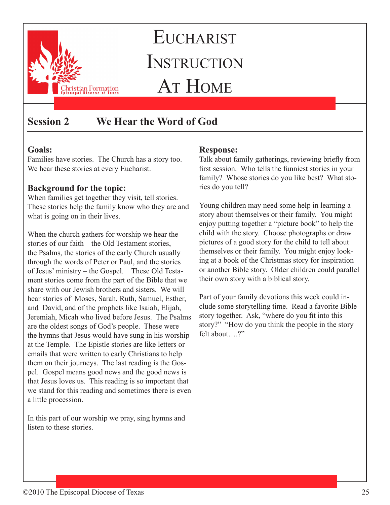

# **Session 2 We Hear the Word of God**

# **Goals:**

Families have stories. The Church has a story too. We hear these stories at every Eucharist.

# **Background for the topic:**

When families get together they visit, tell stories. These stories help the family know who they are and what is going on in their lives.

When the church gathers for worship we hear the stories of our faith – the Old Testament stories, the Psalms, the stories of the early Church usually through the words of Peter or Paul, and the stories of Jesus' ministry – the Gospel. These Old Testament stories come from the part of the Bible that we share with our Jewish brothers and sisters. We will hear stories of Moses, Sarah, Ruth, Samuel, Esther, and David, and of the prophets like Isaiah, Elijah, Jeremiah, Micah who lived before Jesus. The Psalms are the oldest songs of God's people. These were the hymns that Jesus would have sung in his worship at the Temple. The Epistle stories are like letters or emails that were written to early Christians to help them on their journeys. The last reading is the Gospel. Gospel means good news and the good news is that Jesus loves us. This reading is so important that we stand for this reading and sometimes there is even a little procession.

In this part of our worship we pray, sing hymns and listen to these stories.

### **Response:**

Talk about family gatherings, reviewing briefly from first session. Who tells the funniest stories in your family? Whose stories do you like best? What stories do you tell?

Young children may need some help in learning a story about themselves or their family. You might enjoy putting together a "picture book" to help the child with the story. Choose photographs or draw pictures of a good story for the child to tell about themselves or their family. You might enjoy looking at a book of the Christmas story for inspiration or another Bible story. Older children could parallel their own story with a biblical story.

Part of your family devotions this week could include some storytelling time. Read a favorite Bible story together. Ask, "where do you fit into this story?" "How do you think the people in the story felt about….?"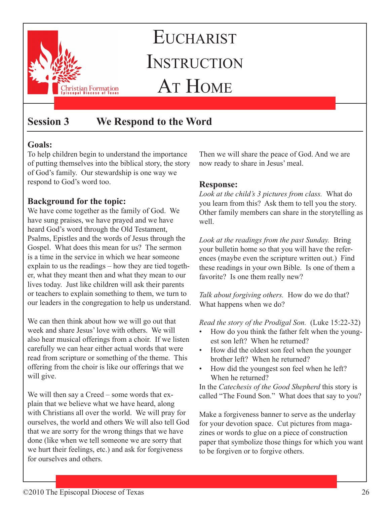

# **Session 3 We Respond to the Word**

# **Goals:**

To help children begin to understand the importance of putting themselves into the biblical story, the story of God's family. Our stewardship is one way we respond to God's word too.

# **Background for the topic:**

We have come together as the family of God. We have sung praises, we have prayed and we have heard God's word through the Old Testament, Psalms, Epistles and the words of Jesus through the Gospel. What does this mean for us? The sermon is a time in the service in which we hear someone explain to us the readings – how they are tied together, what they meant then and what they mean to our lives today. Just like children will ask their parents or teachers to explain something to them, we turn to our leaders in the congregation to help us understand.

We can then think about how we will go out that week and share Jesus' love with others. We will also hear musical offerings from a choir. If we listen carefully we can hear either actual words that were read from scripture or something of the theme. This offering from the choir is like our offerings that we will give.

We will then say a Creed – some words that explain that we believe what we have heard, along with Christians all over the world. We will pray for ourselves, the world and others We will also tell God that we are sorry for the wrong things that we have done (like when we tell someone we are sorry that we hurt their feelings, etc.) and ask for forgiveness for ourselves and others.

Then we will share the peace of God. And we are now ready to share in Jesus' meal.

# **Response:**

*Look at the child's 3 pictures from class.* What do you learn from this? Ask them to tell you the story. Other family members can share in the storytelling as well.

*Look at the readings from the past Sunday.* Bring your bulletin home so that you will have the references (maybe even the scripture written out.) Find these readings in your own Bible. Is one of them a favorite? Is one them really new?

*Talk about forgiving others.* How do we do that? What happens when we do?

*Read the story of the Prodigal Son.* (Luke 15:22-32)

- How do you think the father felt when the youngest son left? When he returned?
- How did the oldest son feel when the younger brother left? When he returned?
- How did the youngest son feel when he left? When he returned?

In the *Catechesis of the Good Shepherd* this story is called "The Found Son." What does that say to you?

Make a forgiveness banner to serve as the underlay for your devotion space. Cut pictures from magazines or words to glue on a piece of construction paper that symbolize those things for which you want to be forgiven or to forgive others.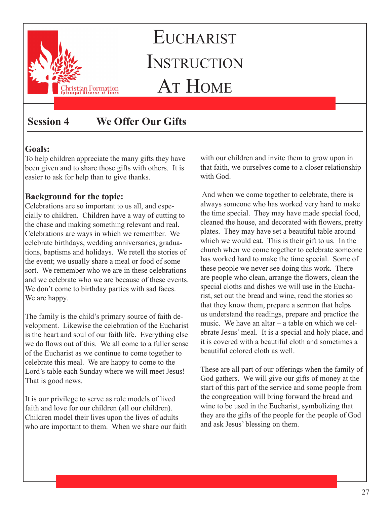

# **Session 4 We Offer Our Gifts**

### **Goals:**

To help children appreciate the many gifts they have been given and to share those gifts with others. It is easier to ask for help than to give thanks.

# **Background for the topic:**

Celebrations are so important to us all, and especially to children. Children have a way of cutting to the chase and making something relevant and real. Celebrations are ways in which we remember. We celebrate birthdays, wedding anniversaries, graduations, baptisms and holidays. We retell the stories of the event; we usually share a meal or food of some sort. We remember who we are in these celebrations and we celebrate who we are because of these events. We don't come to birthday parties with sad faces. We are happy.

The family is the child's primary source of faith development. Likewise the celebration of the Eucharist is the heart and soul of our faith life. Everything else we do flows out of this. We all come to a fuller sense of the Eucharist as we continue to come together to celebrate this meal. We are happy to come to the Lord's table each Sunday where we will meet Jesus! That is good news.

It is our privilege to serve as role models of lived faith and love for our children (all our children). Children model their lives upon the lives of adults who are important to them. When we share our faith with our children and invite them to grow upon in that faith, we ourselves come to a closer relationship with God.

 And when we come together to celebrate, there is always someone who has worked very hard to make the time special. They may have made special food, cleaned the house, and decorated with flowers, pretty plates. They may have set a beautiful table around which we would eat. This is their gift to us. In the church when we come together to celebrate someone has worked hard to make the time special. Some of these people we never see doing this work. There are people who clean, arrange the flowers, clean the special cloths and dishes we will use in the Eucharist, set out the bread and wine, read the stories so that they know them, prepare a sermon that helps us understand the readings, prepare and practice the music. We have an altar – a table on which we celebrate Jesus' meal. It is a special and holy place, and it is covered with a beautiful cloth and sometimes a beautiful colored cloth as well.

These are all part of our offerings when the family of God gathers. We will give our gifts of money at the start of this part of the service and some people from the congregation will bring forward the bread and wine to be used in the Eucharist, symbolizing that they are the gifts of the people for the people of God and ask Jesus' blessing on them.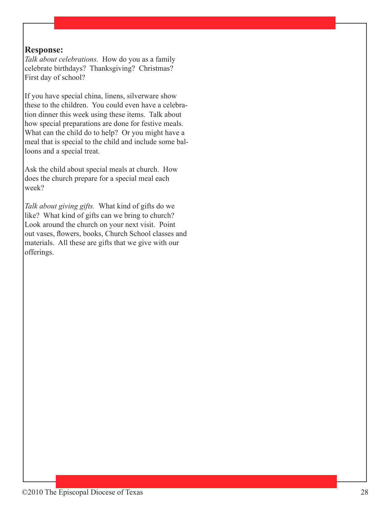#### **Response:**

*Talk about celebrations.* How do you as a family celebrate birthdays? Thanksgiving? Christmas? First day of school?

If you have special china, linens, silverware show these to the children. You could even have a celebration dinner this week using these items. Talk about how special preparations are done for festive meals. What can the child do to help? Or you might have a meal that is special to the child and include some balloons and a special treat.

Ask the child about special meals at church. How does the church prepare for a special meal each week?

*Talk about giving gifts.* What kind of gifts do we like? What kind of gifts can we bring to church? Look around the church on your next visit. Point out vases, flowers, books, Church School classes and materials. All these are gifts that we give with our offerings.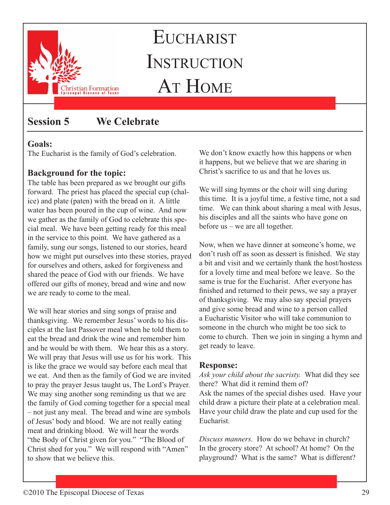

# **Session 5 We Celebrate**

# **Goals:**

The Eucharist is the family of God's celebration.

# **Background for the topic:**

The table has been prepared as we brought our gifts forward. The priest has placed the special cup (chalice) and plate (paten) with the bread on it. A little water has been poured in the cup of wine. And now we gather as the family of God to celebrate this special meal. We have been getting ready for this meal in the service to this point. We have gathered as a family, sung our songs, listened to our stories, heard how we might put ourselves into these stories, prayed for ourselves and others, asked for forgiveness and shared the peace of God with our friends. We have offered our gifts of money, bread and wine and now we are ready to come to the meal.

We will hear stories and sing songs of praise and thanksgiving. We remember Jesus' words to his disciples at the last Passover meal when he told them to eat the bread and drink the wine and remember him and he would be with them. We hear this as a story. We will pray that Jesus will use us for his work. This is like the grace we would say before each meal that we eat. And then as the family of God we are invited to pray the prayer Jesus taught us, The Lord's Prayer. We may sing another song reminding us that we are the family of God coming together for a special meal – not just any meal. The bread and wine are symbols of Jesus' body and blood. We are not really eating meat and drinking blood. We will hear the words "the Body of Christ given for you." "The Blood of Christ shed for you." We will respond with "Amen" to show that we believe this.

We don't know exactly how this happens or when it happens, but we believe that we are sharing in Christ's sacrifice to us and that he loves us.

We will sing hymns or the choir will sing during this time. It is a joyful time, a festive time, not a sad time. We can think about sharing a meal with Jesus, his disciples and all the saints who have gone on before us – we are all together.

Now, when we have dinner at someone's home, we don't rush off as soon as dessert is finished. We stay a bit and visit and we certainly thank the host/hostess for a lovely time and meal before we leave. So the same is true for the Eucharist. After everyone has finished and returned to their pews, we say a prayer of thanksgiving. We may also say special prayers and give some bread and wine to a person called a Eucharistic Visitor who will take communion to someone in the church who might be too sick to come to church. Then we join in singing a hymn and get ready to leave.

### **Response:**

*Ask your child about the sacristy.* What did they see there? What did it remind them of? Ask the names of the special dishes used. Have your child draw a picture their plate at a celebration meal. Have your child draw the plate and cup used for the Eucharist.

*Discuss manners.* How do we behave in church? In the grocery store? At school? At home? On the playground? What is the same? What is different?